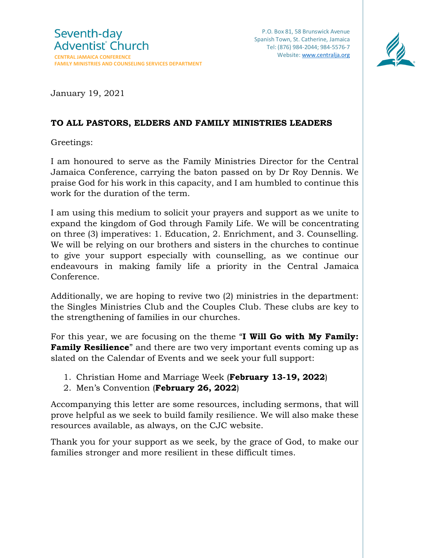

January 19, 2021

## **TO ALL PASTORS, ELDERS AND FAMILY MINISTRIES LEADERS**

Greetings:

I am honoured to serve as the Family Ministries Director for the Central Jamaica Conference, carrying the baton passed on by Dr Roy Dennis. We praise God for his work in this capacity, and I am humbled to continue this work for the duration of the term.

I am using this medium to solicit your prayers and support as we unite to expand the kingdom of God through Family Life. We will be concentrating on three (3) imperatives: 1. Education, 2. Enrichment, and 3. Counselling. We will be relying on our brothers and sisters in the churches to continue to give your support especially with counselling, as we continue our endeavours in making family life a priority in the Central Jamaica Conference.

Additionally, we are hoping to revive two (2) ministries in the department: the Singles Ministries Club and the Couples Club. These clubs are key to the strengthening of families in our churches.

For this year, we are focusing on the theme "**I Will Go with My Family: Family Resilience**" and there are two very important events coming up as slated on the Calendar of Events and we seek your full support:

- 1. Christian Home and Marriage Week (**February 13-19, 2022**)
- 2. Men's Convention (**February 26, 2022**)

Accompanying this letter are some resources, including sermons, that will prove helpful as we seek to build family resilience. We will also make these resources available, as always, on the CJC website.

Thank you for your support as we seek, by the grace of God, to make our families stronger and more resilient in these difficult times.